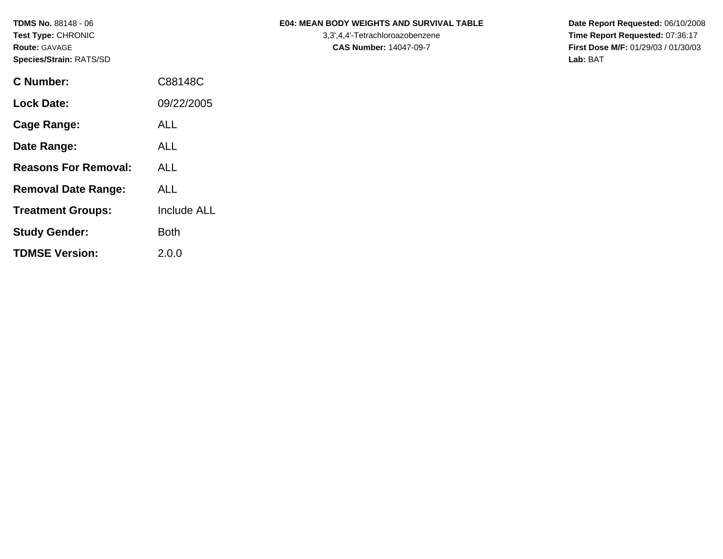| <b>TDMS No. 88148 - 06</b><br>Test Type: CHRONIC<br><b>Route: GAVAGE</b><br>Species/Strain: RATS/SD |             | <b>E04: MEAN BODY WEIGHTS AND SURVIVAL TABLE</b><br>3,3',4,4'-Tetrachloroazobenzene<br><b>CAS Number: 14047-09-7</b> | Date Report Requested: 06/10/2008<br>Time Report Requested: 07:36:17<br><b>First Dose M/F: 01/29/03 / 01/30/03</b><br>Lab: BAT |
|-----------------------------------------------------------------------------------------------------|-------------|----------------------------------------------------------------------------------------------------------------------|--------------------------------------------------------------------------------------------------------------------------------|
| <b>C</b> Number:                                                                                    | C88148C     |                                                                                                                      |                                                                                                                                |
| <b>Lock Date:</b>                                                                                   | 09/22/2005  |                                                                                                                      |                                                                                                                                |
| <b>Cage Range:</b>                                                                                  | <b>ALL</b>  |                                                                                                                      |                                                                                                                                |
| Date Range:                                                                                         | <b>ALL</b>  |                                                                                                                      |                                                                                                                                |
| <b>Reasons For Removal:</b>                                                                         | <b>ALL</b>  |                                                                                                                      |                                                                                                                                |
| <b>Removal Date Range:</b>                                                                          | <b>ALL</b>  |                                                                                                                      |                                                                                                                                |
| <b>Treatment Groups:</b>                                                                            | Include ALL |                                                                                                                      |                                                                                                                                |
| <b>Study Gender:</b>                                                                                | <b>Both</b> |                                                                                                                      |                                                                                                                                |

**TDMSE Version:** 2.0.0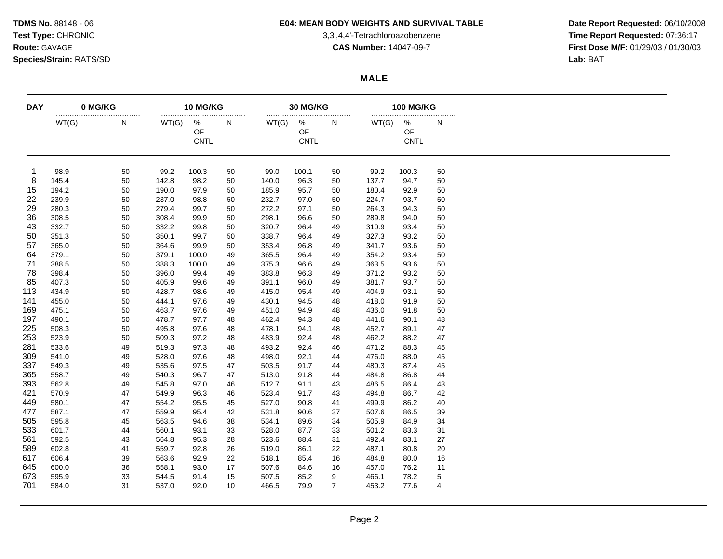### **TDMS No.** 88148 - 06 **E04: MEAN BODY WEIGHTS AND SURVIVAL TABLE Date Report Requested:** 06/10/2008

Test Type: CHRONIC **Test Type:** CHRONIC **3,3',4,4'-Tetrachloroazobenzene** 3,3',4,4'-Tetrachloroazobenzene **Time Report Requested:** 07:36:17 **Route:** GAVAGE **CAS Number:** 14047-09-7 **First Dose M/F:** 01/29/03 / 01/30/03

### **MALE**

| <b>DAY</b> | 0 MG/KG<br> |    | 10 MG/KG<br> |                        |    |       | 30 MG/KG<br>           |                |       | <b>100 MG/KG</b><br>   |             |  |  |
|------------|-------------|----|--------------|------------------------|----|-------|------------------------|----------------|-------|------------------------|-------------|--|--|
|            | WT(G)       | N  | WT(G)        | %<br>OF<br><b>CNTL</b> | N  | WT(G) | %<br>OF<br><b>CNTL</b> | N              | WT(G) | %<br>OF<br><b>CNTL</b> | N           |  |  |
| 1          | 98.9        | 50 | 99.2         | 100.3                  | 50 | 99.0  | 100.1                  | 50             | 99.2  | 100.3                  | 50          |  |  |
| 8          | 145.4       | 50 | 142.8        | 98.2                   | 50 | 140.0 | 96.3                   | 50             | 137.7 | 94.7                   | 50          |  |  |
| 15         | 194.2       | 50 | 190.0        | 97.9                   | 50 | 185.9 | 95.7                   | 50             | 180.4 | 92.9                   | 50          |  |  |
| 22         | 239.9       | 50 | 237.0        | 98.8                   | 50 | 232.7 | 97.0                   | 50             | 224.7 | 93.7                   | 50          |  |  |
| 29         | 280.3       | 50 | 279.4        | 99.7                   | 50 | 272.2 | 97.1                   | 50             | 264.3 | 94.3                   | 50          |  |  |
| 36         | 308.5       | 50 | 308.4        | 99.9                   | 50 | 298.1 | 96.6                   | 50             | 289.8 | 94.0                   | 50          |  |  |
| 43         | 332.7       | 50 | 332.2        | 99.8                   | 50 | 320.7 | 96.4                   | 49             | 310.9 | 93.4                   | 50          |  |  |
| 50         | 351.3       | 50 | 350.1        | 99.7                   | 50 | 338.7 | 96.4                   | 49             | 327.3 | 93.2                   | 50          |  |  |
| 57         | 365.0       | 50 | 364.6        | 99.9                   | 50 | 353.4 | 96.8                   | 49             | 341.7 | 93.6                   | 50          |  |  |
| 64         | 379.1       | 50 | 379.1        | 100.0                  | 49 | 365.5 | 96.4                   | 49             | 354.2 | 93.4                   | 50          |  |  |
| 71         | 388.5       | 50 | 388.3        | 100.0                  | 49 | 375.3 | 96.6                   | 49             | 363.5 | 93.6                   | 50          |  |  |
| 78         | 398.4       | 50 | 396.0        | 99.4                   | 49 | 383.8 | 96.3                   | 49             | 371.2 | 93.2                   | 50          |  |  |
| 85         | 407.3       | 50 | 405.9        | 99.6                   | 49 | 391.1 | 96.0                   | 49             | 381.7 | 93.7                   | 50          |  |  |
| 113        | 434.9       | 50 | 428.7        | 98.6                   | 49 | 415.0 | 95.4                   | 49             | 404.9 | 93.1                   | 50          |  |  |
| 141        | 455.0       | 50 | 444.1        | 97.6                   | 49 | 430.1 | 94.5                   | 48             | 418.0 | 91.9                   | 50          |  |  |
| 169        | 475.1       | 50 | 463.7        | 97.6                   | 49 | 451.0 | 94.9                   | 48             | 436.0 | 91.8                   | 50          |  |  |
| 197        | 490.1       | 50 | 478.7        | 97.7                   | 48 | 462.4 | 94.3                   | 48             | 441.6 | 90.1                   | 48          |  |  |
| 225        | 508.3       | 50 | 495.8        | 97.6                   | 48 | 478.1 | 94.1                   | 48             | 452.7 | 89.1                   | 47          |  |  |
| 253        | 523.9       | 50 | 509.3        | 97.2                   | 48 | 483.9 | 92.4                   | 48             | 462.2 | 88.2                   | 47          |  |  |
| 281        | 533.6       | 49 | 519.3        | 97.3                   | 48 | 493.2 | 92.4                   | 46             | 471.2 | 88.3                   | 45          |  |  |
| 309        | 541.0       | 49 | 528.0        | 97.6                   | 48 | 498.0 | 92.1                   | 44             | 476.0 | 88.0                   | 45          |  |  |
| 337        | 549.3       | 49 | 535.6        | 97.5                   | 47 | 503.5 | 91.7                   | 44             | 480.3 | 87.4                   | 45          |  |  |
| 365        | 558.7       | 49 | 540.3        | 96.7                   | 47 | 513.0 | 91.8                   | 44             | 484.8 | 86.8                   | 44          |  |  |
| 393        | 562.8       | 49 | 545.8        | 97.0                   | 46 | 512.7 | 91.1                   | 43             | 486.5 | 86.4                   | 43          |  |  |
| 421        | 570.9       | 47 | 549.9        | 96.3                   | 46 | 523.4 | 91.7                   | 43             | 494.8 | 86.7                   | 42          |  |  |
| 449        | 580.1       | 47 | 554.2        | 95.5                   | 45 | 527.0 | 90.8                   | 41             | 499.9 | 86.2                   | 40          |  |  |
| 477        | 587.1       | 47 | 559.9        | 95.4                   | 42 | 531.8 | 90.6                   | 37             | 507.6 | 86.5                   | 39          |  |  |
| 505        | 595.8       | 45 | 563.5        | 94.6                   | 38 | 534.1 | 89.6                   | 34             | 505.9 | 84.9                   | 34          |  |  |
| 533        |             |    |              |                        |    |       |                        |                |       |                        |             |  |  |
|            | 601.7       | 44 | 560.1        | 93.1                   | 33 | 528.0 | 87.7                   | 33             | 501.2 | 83.3                   | 31          |  |  |
| 561        | 592.5       | 43 | 564.8        | 95.3                   | 28 | 523.6 | 88.4                   | 31             | 492.4 | 83.1                   | 27          |  |  |
| 589        | 602.8       | 41 | 559.7        | 92.8                   | 26 | 519.0 | 86.1                   | 22             | 487.1 | 80.8                   | 20          |  |  |
| 617        | 606.4       | 39 | 563.6        | 92.9                   | 22 | 518.1 | 85.4                   | 16             | 484.8 | 80.0                   | 16          |  |  |
| 645        | 600.0       | 36 | 558.1        | 93.0                   | 17 | 507.6 | 84.6                   | 16             | 457.0 | 76.2                   | 11          |  |  |
| 673        | 595.9       | 33 | 544.5        | 91.4                   | 15 | 507.5 | 85.2                   | 9              | 466.1 | 78.2                   | $\,$ 5 $\,$ |  |  |
| 701        | 584.0       | 31 | 537.0        | 92.0                   | 10 | 466.5 | 79.9                   | $\overline{7}$ | 453.2 | 77.6                   | 4           |  |  |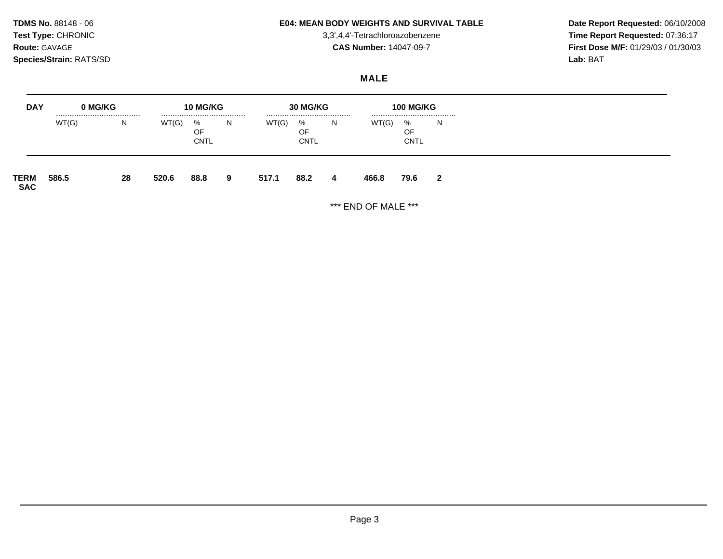### **TDMS No.** 88148 - 06 **E04: MEAN BODY WEIGHTS AND SURVIVAL TABLE Date Report Requested:** 06/10/2008

Test Type: CHRONIC **Test Type:** CHRONIC **3,3',4,4'-Tetrachloroazobenzene** 3,3',4,4'-Tetrachloroazobenzene **Time Report Requested:** 07:36:17 **Route:** GAVAGE **CAS Number:** 14047-09-7 **First Dose M/F:** 01/29/03 / 01/30/03

# **MALE**

| <b>DAY</b>         | 0 MG/KG |    |       | 10 MG/KG               |   |       | <b>30 MG/KG</b>            |    |       | <b>100 MG/KG</b>           |              |
|--------------------|---------|----|-------|------------------------|---|-------|----------------------------|----|-------|----------------------------|--------------|
|                    | WT(G)   | N. | WT(G) | %<br>OF<br><b>CNTL</b> | N | WT(G) | <br>%<br>OF<br><b>CNTL</b> | N. | WT(G) | <br>%<br>OF<br><b>CNTL</b> | N            |
| TERM<br><b>SAC</b> | 586.5   | 28 | 520.6 | 88.8                   | 9 | 517.1 | 88.2                       | 4  | 466.8 | 79.6                       | $\mathbf{2}$ |

\*\*\* END OF MALE \*\*\*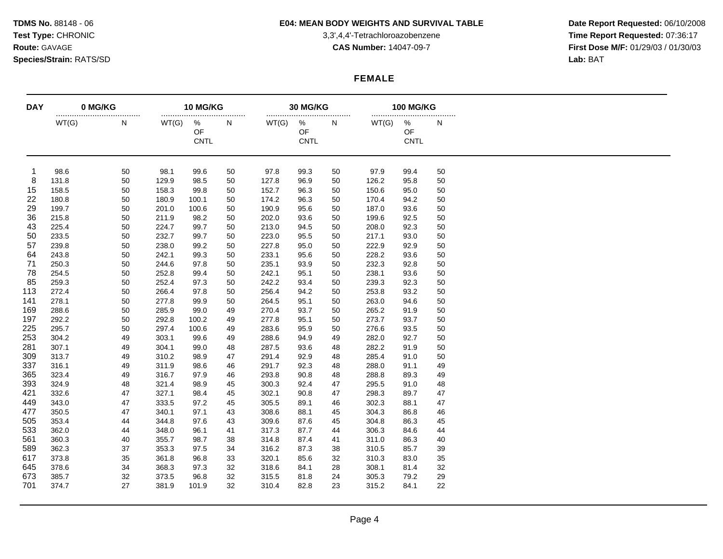### **TDMS No.** 88148 - 06 **E04: MEAN BODY WEIGHTS AND SURVIVAL TABLE Date Report Requested:** 06/10/2008

Test Type: CHRONIC **Test Type:** CHRONIC **3,3',4,4'-Tetrachloroazobenzene** 3,3',4,4'-Tetrachloroazobenzene **Time Report Requested:** 07:36:17 **Route:** GAVAGE **CAS Number:** 14047-09-7 **First Dose M/F:** 01/29/03 / 01/30/03

### **FEMALE**

| <b>DAY</b> | 0 MG/KG<br> |    | 10 MG/KG<br> |                        |    |       | 30 MG/KG<br>           |    |       | <b>100 MG/KG</b><br>   |    |  |
|------------|-------------|----|--------------|------------------------|----|-------|------------------------|----|-------|------------------------|----|--|
|            | WT(G)       | N  | WT(G)        | %<br>OF<br><b>CNTL</b> | N  | WT(G) | %<br>OF<br><b>CNTL</b> | N  | WT(G) | %<br>OF<br><b>CNTL</b> | N  |  |
| -1         | 98.6        | 50 | 98.1         | 99.6                   | 50 | 97.8  | 99.3                   | 50 | 97.9  | 99.4                   | 50 |  |
| 8          | 131.8       | 50 | 129.9        | 98.5                   | 50 | 127.8 | 96.9                   | 50 | 126.2 | 95.8                   | 50 |  |
| 15         | 158.5       | 50 | 158.3        | 99.8                   | 50 | 152.7 | 96.3                   | 50 | 150.6 | 95.0                   | 50 |  |
| 22         | 180.8       | 50 | 180.9        | 100.1                  | 50 | 174.2 | 96.3                   | 50 | 170.4 | 94.2                   | 50 |  |
| 29         | 199.7       | 50 | 201.0        | 100.6                  | 50 | 190.9 | 95.6                   | 50 | 187.0 | 93.6                   | 50 |  |
| 36         | 215.8       | 50 | 211.9        | 98.2                   | 50 | 202.0 | 93.6                   | 50 | 199.6 | 92.5                   | 50 |  |
| 43         | 225.4       | 50 | 224.7        | 99.7                   | 50 | 213.0 | 94.5                   | 50 | 208.0 | 92.3                   | 50 |  |
| 50         | 233.5       | 50 | 232.7        | 99.7                   | 50 | 223.0 | 95.5                   | 50 | 217.1 | 93.0                   | 50 |  |
| 57         | 239.8       | 50 | 238.0        | 99.2                   | 50 | 227.8 | 95.0                   | 50 | 222.9 | 92.9                   | 50 |  |
| 64         | 243.8       | 50 | 242.1        | 99.3                   | 50 | 233.1 | 95.6                   | 50 | 228.2 | 93.6                   | 50 |  |
| 71         | 250.3       | 50 | 244.6        | 97.8                   | 50 | 235.1 | 93.9                   | 50 | 232.3 | 92.8                   | 50 |  |
| 78         | 254.5       | 50 | 252.8        | 99.4                   | 50 | 242.1 | 95.1                   | 50 | 238.1 | 93.6                   | 50 |  |
| 85         | 259.3       | 50 | 252.4        | 97.3                   | 50 | 242.2 | 93.4                   | 50 | 239.3 | 92.3                   | 50 |  |
| 113        | 272.4       | 50 | 266.4        | 97.8                   | 50 | 256.4 | 94.2                   | 50 | 253.8 | 93.2                   | 50 |  |
| 141        | 278.1       | 50 | 277.8        | 99.9                   | 50 | 264.5 | 95.1                   | 50 | 263.0 | 94.6                   | 50 |  |
| 169        | 288.6       | 50 | 285.9        | 99.0                   | 49 | 270.4 | 93.7                   | 50 | 265.2 | 91.9                   | 50 |  |
| 197        | 292.2       | 50 | 292.8        | 100.2                  | 49 | 277.8 | 95.1                   | 50 | 273.7 | 93.7                   | 50 |  |
| 225        | 295.7       | 50 | 297.4        | 100.6                  | 49 | 283.6 | 95.9                   | 50 | 276.6 | 93.5                   | 50 |  |
| 253        | 304.2       | 49 | 303.1        | 99.6                   | 49 | 288.6 | 94.9                   | 49 | 282.0 | 92.7                   | 50 |  |
| 281        | 307.1       | 49 | 304.1        | 99.0                   | 48 | 287.5 | 93.6                   | 48 | 282.2 | 91.9                   | 50 |  |
| 309        | 313.7       | 49 | 310.2        | 98.9                   | 47 | 291.4 | 92.9                   | 48 | 285.4 | 91.0                   | 50 |  |
| 337        | 316.1       | 49 | 311.9        | 98.6                   | 46 | 291.7 | 92.3                   | 48 | 288.0 | 91.1                   | 49 |  |
| 365        | 323.4       | 49 | 316.7        | 97.9                   | 46 | 293.8 | 90.8                   | 48 | 288.8 | 89.3                   | 49 |  |
| 393        | 324.9       | 48 | 321.4        | 98.9                   | 45 | 300.3 | 92.4                   | 47 | 295.5 | 91.0                   | 48 |  |
| 421        | 332.6       | 47 | 327.1        | 98.4                   | 45 | 302.1 | 90.8                   | 47 | 298.3 | 89.7                   | 47 |  |
| 449        | 343.0       | 47 | 333.5        | 97.2                   | 45 | 305.5 | 89.1                   | 46 | 302.3 | 88.1                   | 47 |  |
| 477        | 350.5       | 47 | 340.1        | 97.1                   | 43 | 308.6 | 88.1                   | 45 | 304.3 | 86.8                   | 46 |  |
| 505        | 353.4       | 44 | 344.8        | 97.6                   | 43 | 309.6 | 87.6                   | 45 | 304.8 | 86.3                   | 45 |  |
| 533        | 362.0       | 44 | 348.0        | 96.1                   | 41 | 317.3 | 87.7                   | 44 | 306.3 | 84.6                   | 44 |  |
| 561        | 360.3       | 40 | 355.7        | 98.7                   | 38 | 314.8 | 87.4                   | 41 | 311.0 | 86.3                   | 40 |  |
| 589        | 362.3       | 37 | 353.3        | 97.5                   | 34 | 316.2 | 87.3                   | 38 | 310.5 | 85.7                   | 39 |  |
| 617        | 373.8       | 35 | 361.8        | 96.8                   | 33 | 320.1 | 85.6                   | 32 | 310.3 | 83.0                   | 35 |  |
| 645        | 378.6       | 34 | 368.3        | 97.3                   | 32 | 318.6 | 84.1                   | 28 | 308.1 | 81.4                   | 32 |  |
| 673        | 385.7       | 32 | 373.5        | 96.8                   | 32 | 315.5 | 81.8                   | 24 | 305.3 | 79.2                   | 29 |  |
| 701        |             |    |              |                        |    |       |                        |    |       |                        | 22 |  |
|            | 374.7       | 27 | 381.9        | 101.9                  | 32 | 310.4 | 82.8                   | 23 | 315.2 | 84.1                   |    |  |